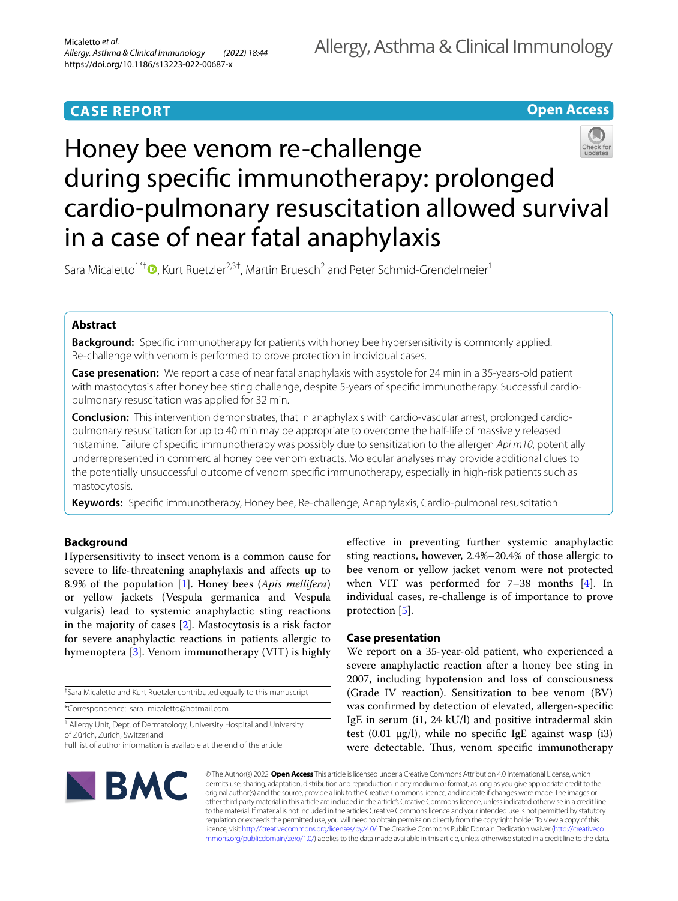# **CASE REPORT**

## **Open Access**



Sara Micaletto<sup>1\*†</sup>  $\bullet$ [,](http://orcid.org/0000-0002-2187-8221) Kurt Ruetzler<sup>2,3†</sup>, Martin Bruesch<sup>2</sup> and Peter Schmid-Grendelmeier<sup>1</sup>

## **Abstract**

**Background:** Specifc immunotherapy for patients with honey bee hypersensitivity is commonly applied. Re-challenge with venom is performed to prove protection in individual cases.

**Case presenation:** We report a case of near fatal anaphylaxis with asystole for 24 min in a 35-years-old patient with mastocytosis after honey bee sting challenge, despite 5-years of specifc immunotherapy. Successful cardiopulmonary resuscitation was applied for 32 min.

**Conclusion:** This intervention demonstrates, that in anaphylaxis with cardio-vascular arrest, prolonged cardiopulmonary resuscitation for up to 40 min may be appropriate to overcome the half-life of massively released histamine. Failure of specifc immunotherapy was possibly due to sensitization to the allergen *Api m10*, potentially underrepresented in commercial honey bee venom extracts. Molecular analyses may provide additional clues to the potentially unsuccessful outcome of venom specifc immunotherapy, especially in high-risk patients such as mastocytosis.

**Keywords:** Specifc immunotherapy, Honey bee, Re-challenge, Anaphylaxis, Cardio-pulmonal resuscitation

## **Background**

Hypersensitivity to insect venom is a common cause for severe to life-threatening anaphylaxis and afects up to 8.9% of the population [\[1](#page-3-0)]. Honey bees (*Apis mellifera*) or yellow jackets (Vespula germanica and Vespula vulgaris) lead to systemic anaphylactic sting reactions in the majority of cases [\[2](#page-3-1)]. Mastocytosis is a risk factor for severe anaphylactic reactions in patients allergic to hymenoptera [[3\]](#page-3-2). Venom immunotherapy (VIT) is highly

† Sara Micaletto and Kurt Ruetzler contributed equally to this manuscript

\*Correspondence: sara\_micaletto@hotmail.com

<sup>1</sup> Allergy Unit, Dept. of Dermatology, University Hospital and University of Zürich, Zurich, Switzerland

efective in preventing further systemic anaphylactic sting reactions, however, 2.4%–20.4% of those allergic to bee venom or yellow jacket venom were not protected when VIT was performed for 7-38 months [\[4](#page-3-3)]. In individual cases, re-challenge is of importance to prove protection [\[5](#page-3-4)].

## **Case presentation**

We report on a 35-year-old patient, who experienced a severe anaphylactic reaction after a honey bee sting in 2007, including hypotension and loss of consciousness (Grade IV reaction). Sensitization to bee venom (BV) was confrmed by detection of elevated, allergen-specifc IgE in serum (i1, 24 kU/l) and positive intradermal skin test  $(0.01 \mu g/l)$ , while no specific IgE against wasp  $(i3)$ were detectable. Thus, venom specific immunotherapy



© The Author(s) 2022. **Open Access** This article is licensed under a Creative Commons Attribution 4.0 International License, which permits use, sharing, adaptation, distribution and reproduction in any medium or format, as long as you give appropriate credit to the original author(s) and the source, provide a link to the Creative Commons licence, and indicate if changes were made. The images or other third party material in this article are included in the article's Creative Commons licence, unless indicated otherwise in a credit line to the material. If material is not included in the article's Creative Commons licence and your intended use is not permitted by statutory regulation or exceeds the permitted use, you will need to obtain permission directly from the copyright holder. To view a copy of this licence, visit [http://creativecommons.org/licenses/by/4.0/.](http://creativecommons.org/licenses/by/4.0/) The Creative Commons Public Domain Dedication waiver ([http://creativeco](http://creativecommons.org/publicdomain/zero/1.0/) [mmons.org/publicdomain/zero/1.0/](http://creativecommons.org/publicdomain/zero/1.0/)) applies to the data made available in this article, unless otherwise stated in a credit line to the data.

Full list of author information is available at the end of the article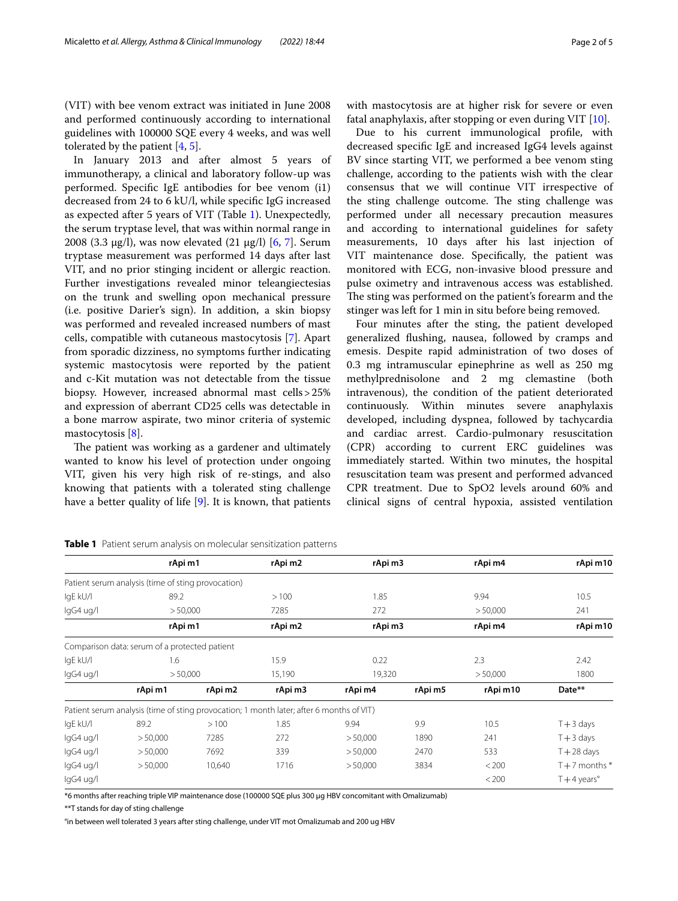(VIT) with bee venom extract was initiated in June 2008 and performed continuously according to international guidelines with 100000 SQE every 4 weeks, and was well tolerated by the patient [[4,](#page-3-3) [5](#page-3-4)].

In January 2013 and after almost 5 years of immunotherapy, a clinical and laboratory follow-up was performed. Specifc IgE antibodies for bee venom (i1) decreased from 24 to 6 kU/l, while specifc IgG increased as expected after 5 years of VIT (Table [1](#page-1-0)). Unexpectedly, the serum tryptase level, that was within normal range in 2008 (3.3 µg/l), was now elevated (21 µg/l) [[6,](#page-3-5) [7](#page-3-6)]. Serum tryptase measurement was performed 14 days after last VIT, and no prior stinging incident or allergic reaction. Further investigations revealed minor teleangiectesias on the trunk and swelling opon mechanical pressure (i.e. positive Darier's sign). In addition, a skin biopsy was performed and revealed increased numbers of mast cells, compatible with cutaneous mastocytosis [[7\]](#page-3-6). Apart from sporadic dizziness, no symptoms further indicating systemic mastocytosis were reported by the patient and c-Kit mutation was not detectable from the tissue biopsy. However, increased abnormal mast cells>25% and expression of aberrant CD25 cells was detectable in a bone marrow aspirate, two minor criteria of systemic mastocytosis [\[8](#page-3-7)].

The patient was working as a gardener and ultimately wanted to know his level of protection under ongoing VIT, given his very high risk of re-stings, and also knowing that patients with a tolerated sting challenge have a better quality of life [[9\]](#page-3-8). It is known, that patients with mastocytosis are at higher risk for severe or even fatal anaphylaxis, after stopping or even during VIT  $[10]$  $[10]$ .

Due to his current immunological profle, with decreased specifc IgE and increased IgG4 levels against BV since starting VIT, we performed a bee venom sting challenge, according to the patients wish with the clear consensus that we will continue VIT irrespective of the sting challenge outcome. The sting challenge was performed under all necessary precaution measures and according to international guidelines for safety measurements, 10 days after his last injection of VIT maintenance dose. Specifcally, the patient was monitored with ECG, non-invasive blood pressure and pulse oximetry and intravenous access was established. The sting was performed on the patient's forearm and the stinger was left for 1 min in situ before being removed.

Four minutes after the sting, the patient developed generalized fushing, nausea, followed by cramps and emesis. Despite rapid administration of two doses of 0.3 mg intramuscular epinephrine as well as 250 mg methylprednisolone and 2 mg clemastine (both intravenous), the condition of the patient deteriorated continuously. Within minutes severe anaphylaxis developed, including dyspnea, followed by tachycardia and cardiac arrest. Cardio-pulmonary resuscitation (CPR) according to current ERC guidelines was immediately started. Within two minutes, the hospital resuscitation team was present and performed advanced CPR treatment. Due to SpO2 levels around 60% and clinical signs of central hypoxia, assisted ventilation

|           | rApi m1                                            |         | rApi m2                                                                                  | rApi m3  |         | rApi m4  | rApi m10              |
|-----------|----------------------------------------------------|---------|------------------------------------------------------------------------------------------|----------|---------|----------|-----------------------|
|           | Patient serum analysis (time of sting provocation) |         |                                                                                          |          |         |          |                       |
| IgE kU/I  | 89.2                                               |         | >100                                                                                     | 1.85     |         | 9.94     | 10.5                  |
| lgG4 ug/l | > 50,000                                           |         | 7285                                                                                     | 272      |         | > 50,000 | 241                   |
|           | rApi m1                                            |         | rApi m2                                                                                  | rApi m3  |         | rApi m4  | rApi m10              |
|           | Comparison data: serum of a protected patient      |         |                                                                                          |          |         |          |                       |
| IqE kU/I  | 1.6                                                |         | 15.9                                                                                     | 0.22     |         | 2.3      | 2.42                  |
| lgG4 ug/l | > 50,000                                           |         | 15,190                                                                                   | 19,320   |         | > 50,000 | 1800                  |
|           | rApi m1                                            | rApi m2 | rApi m3                                                                                  | rApi m4  | rApi m5 | rApi m10 | Date**                |
|           |                                                    |         | Patient serum analysis (time of sting provocation; 1 month later; after 6 months of VIT) |          |         |          |                       |
| IqE kU/I  | 89.2                                               | >100    | 1.85                                                                                     | 9.94     | 9.9     | 10.5     | $T + 3$ days          |
| lgG4 ug/l | > 50,000                                           | 7285    | 272                                                                                      | > 50,000 | 1890    | 241      | $T + 3$ days          |
| lgG4 ug/l | > 50,000                                           | 7692    | 339                                                                                      | > 50,000 | 2470    | 533      | $T + 28$ days         |
| lgG4 ug/l | > 50,000                                           | 10,640  | 1716                                                                                     | > 50,000 | 3834    | < 200    | $T + 7$ months $*$    |
| lgG4 ug/l |                                                    |         |                                                                                          |          |         | < 200    | $T+4$ years $\degree$ |

<span id="page-1-0"></span>**Table 1** Patient serum analysis on molecular sensitization patterns

\*6 months after reaching triple VIP maintenance dose (100000 SQE plus 300 μg HBV concomitant with Omalizumab)

\*\*T stands for day of sting challenge

°in between well tolerated 3 years after sting challenge, under VIT mot Omalizumab and 200 ug HBV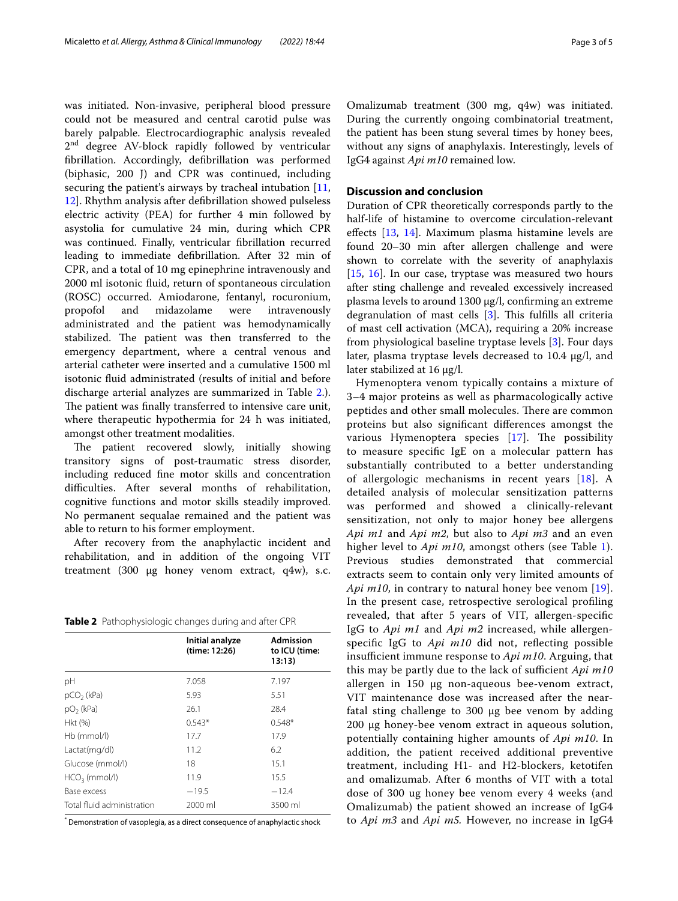was initiated. Non-invasive, peripheral blood pressure could not be measured and central carotid pulse was barely palpable. Electrocardiographic analysis revealed 2<sup>nd</sup> degree AV-block rapidly followed by ventricular fbrillation. Accordingly, defbrillation was performed (biphasic, 200 J) and CPR was continued, including securing the patient's airways by tracheal intubation [\[11](#page-3-10), [12\]](#page-3-11). Rhythm analysis after defbrillation showed pulseless electric activity (PEA) for further 4 min followed by asystolia for cumulative 24 min, during which CPR was continued. Finally, ventricular fbrillation recurred leading to immediate defbrillation. After 32 min of CPR, and a total of 10 mg epinephrine intravenously and 2000 ml isotonic fuid, return of spontaneous circulation (ROSC) occurred. Amiodarone, fentanyl, rocuronium, propofol and midazolame were intravenously administrated and the patient was hemodynamically stabilized. The patient was then transferred to the emergency department, where a central venous and arterial catheter were inserted and a cumulative 1500 ml isotonic fuid administrated (results of initial and before discharge arterial analyzes are summarized in Table [2.](#page-2-0)). The patient was finally transferred to intensive care unit, where therapeutic hypothermia for 24 h was initiated, amongst other treatment modalities.

The patient recovered slowly, initially showing transitory signs of post-traumatic stress disorder, including reduced fne motor skills and concentration difficulties. After several months of rehabilitation, cognitive functions and motor skills steadily improved. No permanent sequalae remained and the patient was able to return to his former employment.

After recovery from the anaphylactic incident and rehabilitation, and in addition of the ongoing VIT treatment (300 µg honey venom extract, q4w), s.c.

<span id="page-2-0"></span>

| Table 2 Pathophysiologic changes during and after CPR |  |  |  |  |  |  |  |
|-------------------------------------------------------|--|--|--|--|--|--|--|
|-------------------------------------------------------|--|--|--|--|--|--|--|

|                            | Initial analyze<br>(time: 12:26) | <b>Admission</b><br>to ICU (time:<br>13:13 |
|----------------------------|----------------------------------|--------------------------------------------|
| pH                         | 7.058                            | 7.197                                      |
| $pCO2$ (kPa)               | 5.93                             | 5.51                                       |
| $pO2$ (kPa)                | 26.1                             | 28.4                                       |
| Hkt (%)                    | $0.543*$                         | $0.548*$                                   |
| $Hb$ (mmol/l)              | 17.7                             | 17.9                                       |
| Lactat(mg/dl)              | 11.2                             | 6.2                                        |
| Glucose (mmol/l)           | 18                               | 15.1                                       |
| $HCO3$ (mmol/l)            | 11.9                             | 15.5                                       |
| Base excess                | $-19.5$                          | $-12.4$                                    |
| Total fluid administration | 2000 ml                          | 3500 ml                                    |

\* Demonstration of vasoplegia, as a direct consequence of anaphylactic shock

Omalizumab treatment (300 mg, q4w) was initiated. During the currently ongoing combinatorial treatment, the patient has been stung several times by honey bees, without any signs of anaphylaxis. Interestingly, levels of IgG4 against *Api m10* remained low.

## **Discussion and conclusion**

Duration of CPR theoretically corresponds partly to the half-life of histamine to overcome circulation-relevant efects [[13](#page-3-12), [14\]](#page-4-0). Maximum plasma histamine levels are found 20–30 min after allergen challenge and were shown to correlate with the severity of anaphylaxis [[15,](#page-4-1) [16\]](#page-4-2). In our case, tryptase was measured two hours after sting challenge and revealed excessively increased plasma levels to around 1300 μg/l, confrming an extreme degranulation of mast cells  $[3]$  $[3]$ . This fulfills all criteria of mast cell activation (MCA), requiring a 20% increase from physiological baseline tryptase levels [\[3](#page-3-2)]. Four days later, plasma tryptase levels decreased to  $10.4 \mu g/l$ , and later stabilized at 16 µg/l.

Hymenoptera venom typically contains a mixture of 3–4 major proteins as well as pharmacologically active peptides and other small molecules. There are common proteins but also signifcant diferences amongst the various Hymenoptera species  $[17]$  $[17]$ . The possibility to measure specifc IgE on a molecular pattern has substantially contributed to a better understanding of allergologic mechanisms in recent years [[18](#page-4-4)]. A detailed analysis of molecular sensitization patterns was performed and showed a clinically-relevant sensitization, not only to major honey bee allergens *Api m1* and *Api m2*, but also to *Api m3* and an even higher level to *Api m10*, amongst others (see Table [1](#page-1-0)). Previous studies demonstrated that commercial extracts seem to contain only very limited amounts of *Api m10*, in contrary to natural honey bee venom [[19](#page-4-5)]. In the present case, retrospective serological profling revealed, that after 5 years of VIT, allergen-specifc IgG to *Api m1* and *Api m2* increased, while allergenspecifc IgG to *Api m10* did not, refecting possible insufficient immune response to *Api m10*. Arguing, that this may be partly due to the lack of sufficient *Api m10* allergen in 150 µg non-aqueous bee-venom extract, VIT maintenance dose was increased after the nearfatal sting challenge to 300 µg bee venom by adding 200 μg honey-bee venom extract in aqueous solution, potentially containing higher amounts of *Api m10*. In addition, the patient received additional preventive treatment, including H1- and H2-blockers, ketotifen and omalizumab. After 6 months of VIT with a total dose of 300 ug honey bee venom every 4 weeks (and Omalizumab) the patient showed an increase of IgG4 to *Api m3* and *Api m5.* However, no increase in IgG4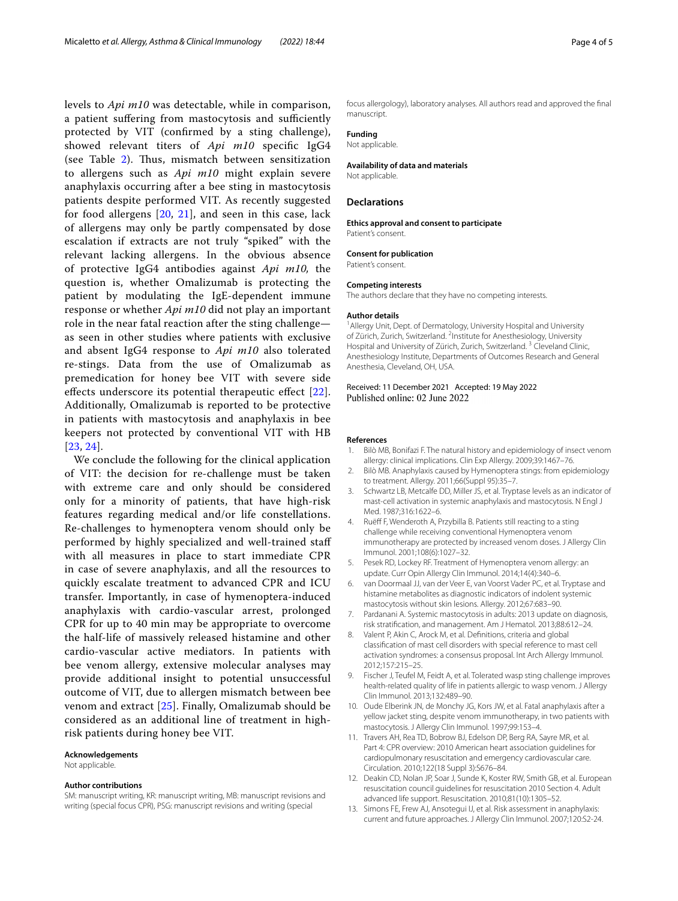levels to *Api m10* was detectable, while in comparison, a patient suffering from mastocytosis and sufficiently protected by VIT (confrmed by a sting challenge), showed relevant titers of *Api m10* specifc IgG4 (see Table [2](#page-2-0)). Thus, mismatch between sensitization to allergens such as *Api m10* might explain severe anaphylaxis occurring after a bee sting in mastocytosis patients despite performed VIT. As recently suggested for food allergens [\[20](#page-4-6), [21\]](#page-4-7), and seen in this case, lack of allergens may only be partly compensated by dose escalation if extracts are not truly "spiked" with the relevant lacking allergens. In the obvious absence of protective IgG4 antibodies against *Api m10,* the question is, whether Omalizumab is protecting the patient by modulating the IgE-dependent immune response or whether *Api m10* did not play an important role in the near fatal reaction after the sting challenge as seen in other studies where patients with exclusive and absent IgG4 response to *Api m10* also tolerated re-stings. Data from the use of Omalizumab as premedication for honey bee VIT with severe side effects underscore its potential therapeutic effect [[22\]](#page-4-8). Additionally, Omalizumab is reported to be protective in patients with mastocytosis and anaphylaxis in bee keepers not protected by conventional VIT with HB [[23](#page-4-9), [24](#page-4-10)].

We conclude the following for the clinical application of VIT: the decision for re-challenge must be taken with extreme care and only should be considered only for a minority of patients, that have high-risk features regarding medical and/or life constellations. Re-challenges to hymenoptera venom should only be performed by highly specialized and well-trained staf with all measures in place to start immediate CPR in case of severe anaphylaxis, and all the resources to quickly escalate treatment to advanced CPR and ICU transfer. Importantly, in case of hymenoptera-induced anaphylaxis with cardio-vascular arrest, prolonged CPR for up to 40 min may be appropriate to overcome the half-life of massively released histamine and other cardio-vascular active mediators. In patients with bee venom allergy, extensive molecular analyses may provide additional insight to potential unsuccessful outcome of VIT, due to allergen mismatch between bee venom and extract [\[25\]](#page-4-11). Finally, Omalizumab should be considered as an additional line of treatment in highrisk patients during honey bee VIT.

#### **Acknowledgements**

Not applicable.

#### **Author contributions**

SM: manuscript writing, KR: manuscript writing, MB: manuscript revisions and writing (special focus CPR), PSG: manuscript revisions and writing (special

focus allergology), laboratory analyses. All authors read and approved the fnal manuscript.

## **Funding**

Not applicable.

#### **Availability of data and materials**

Not applicable.

#### **Declarations**

**Ethics approval and consent to participate** Patient's consent.

#### **Consent for publication**

Patient's consent.

#### **Competing interests**

The authors declare that they have no competing interests.

#### **Author details**

<sup>1</sup> Allergy Unit, Dept. of Dermatology, University Hospital and University of Zürich, Zurich, Switzerland. <sup>2</sup>Institute for Anesthesiology, University Hospital and University of Zürich, Zurich, Switzerland.<sup>3</sup> Cleveland Clinic, Anesthesiology Institute, Departments of Outcomes Research and General Anesthesia, Cleveland, OH, USA.

#### Received: 11 December 2021 Accepted: 19 May 2022 Published online: 02 June 2022

#### **References**

- <span id="page-3-0"></span>Bilò MB, Bonifazi F. The natural history and epidemiology of insect venom allergy: clinical implications. Clin Exp Allergy. 2009;39:1467–76.
- <span id="page-3-1"></span>2. Bilò MB. Anaphylaxis caused by Hymenoptera stings: from epidemiology to treatment. Allergy. 2011;66(Suppl 95):35–7.
- <span id="page-3-2"></span>3. Schwartz LB, Metcalfe DD, Miller JS, et al. Tryptase levels as an indicator of mast-cell activation in systemic anaphylaxis and mastocytosis. N Engl J Med. 1987;316:1622–6.
- <span id="page-3-3"></span>4. Ruëf F, Wenderoth A, Przybilla B. Patients still reacting to a sting challenge while receiving conventional Hymenoptera venom immunotherapy are protected by increased venom doses. J Allergy Clin Immunol. 2001;108(6):1027–32.
- <span id="page-3-4"></span>5. Pesek RD, Lockey RF. Treatment of Hymenoptera venom allergy: an update. Curr Opin Allergy Clin Immunol. 2014;14(4):340–6.
- <span id="page-3-5"></span>6. van Doormaal JJ, van der Veer E, van Voorst Vader PC, et al. Tryptase and histamine metabolites as diagnostic indicators of indolent systemic mastocytosis without skin lesions. Allergy. 2012;67:683–90.
- <span id="page-3-6"></span>7. Pardanani A. Systemic mastocytosis in adults: 2013 update on diagnosis, risk stratifcation, and management. Am J Hematol. 2013;88:612–24.
- <span id="page-3-7"></span>8. Valent P, Akin C, Arock M, et al. Defnitions, criteria and global classifcation of mast cell disorders with special reference to mast cell activation syndromes: a consensus proposal. Int Arch Allergy Immunol. 2012;157:215–25.
- <span id="page-3-8"></span>9. Fischer J, Teufel M, Feidt A, et al. Tolerated wasp sting challenge improves health-related quality of life in patients allergic to wasp venom. J Allergy Clin Immunol. 2013;132:489–90.
- <span id="page-3-9"></span>10. Oude Elberink JN, de Monchy JG, Kors JW, et al. Fatal anaphylaxis after a yellow jacket sting, despite venom immunotherapy, in two patients with mastocytosis. J Allergy Clin Immunol. 1997;99:153–4.
- <span id="page-3-10"></span>11. Travers AH, Rea TD, Bobrow BJ, Edelson DP, Berg RA, Sayre MR, et al. Part 4: CPR overview: 2010 American heart association guidelines for cardiopulmonary resuscitation and emergency cardiovascular care. Circulation. 2010;122(18 Suppl 3):S676–84.
- <span id="page-3-11"></span>12. Deakin CD, Nolan JP, Soar J, Sunde K, Koster RW, Smith GB, et al. European resuscitation council guidelines for resuscitation 2010 Section 4. Adult advanced life support. Resuscitation. 2010;81(10):1305–52.
- <span id="page-3-12"></span>13. Simons FE, Frew AJ, Ansotegui IJ, et al. Risk assessment in anaphylaxis: current and future approaches. J Allergy Clin Immunol. 2007;120:S2-24.